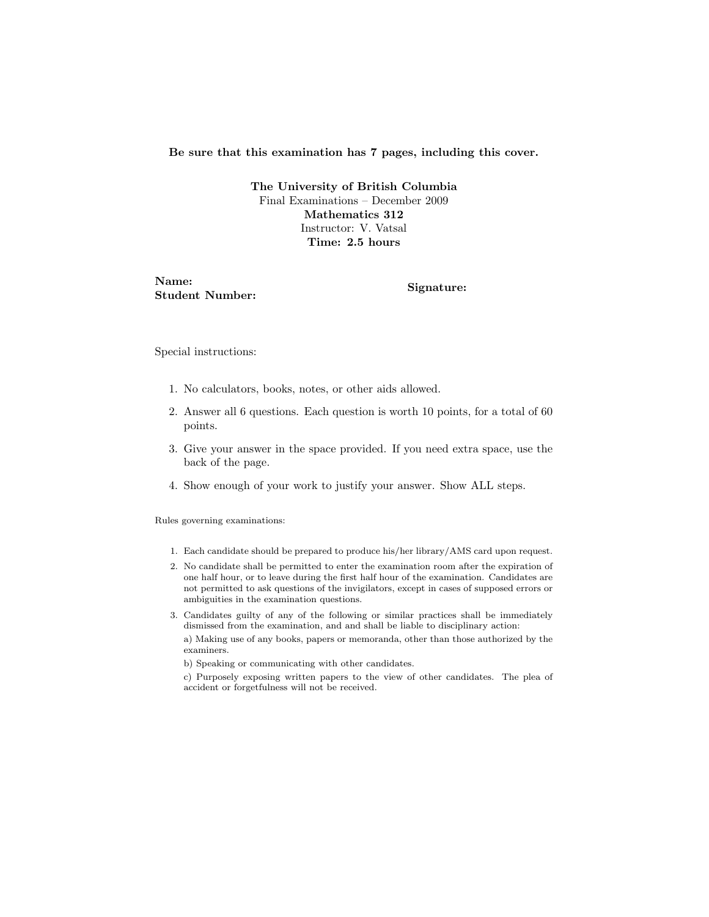#### Be sure that this examination has 7 pages, including this cover.

The University of British Columbia Final Examinations – December 2009 Mathematics 312 Instructor: V. Vatsal Time: 2.5 hours

Name: Student Number: Signature:

Special instructions:

- 1. No calculators, books, notes, or other aids allowed.
- 2. Answer all 6 questions. Each question is worth 10 points, for a total of 60 points.
- 3. Give your answer in the space provided. If you need extra space, use the back of the page.
- 4. Show enough of your work to justify your answer. Show ALL steps.

Rules governing examinations:

- 1. Each candidate should be prepared to produce his/her library/AMS card upon request.
- 2. No candidate shall be permitted to enter the examination room after the expiration of one half hour, or to leave during the first half hour of the examination. Candidates are not permitted to ask questions of the invigilators, except in cases of supposed errors or ambiguities in the examination questions.
- 3. Candidates guilty of any of the following or similar practices shall be immediately dismissed from the examination, and and shall be liable to disciplinary action:

a) Making use of any books, papers or memoranda, other than those authorized by the examiners.

b) Speaking or communicating with other candidates.

c) Purposely exposing written papers to the view of other candidates. The plea of accident or forgetfulness will not be received.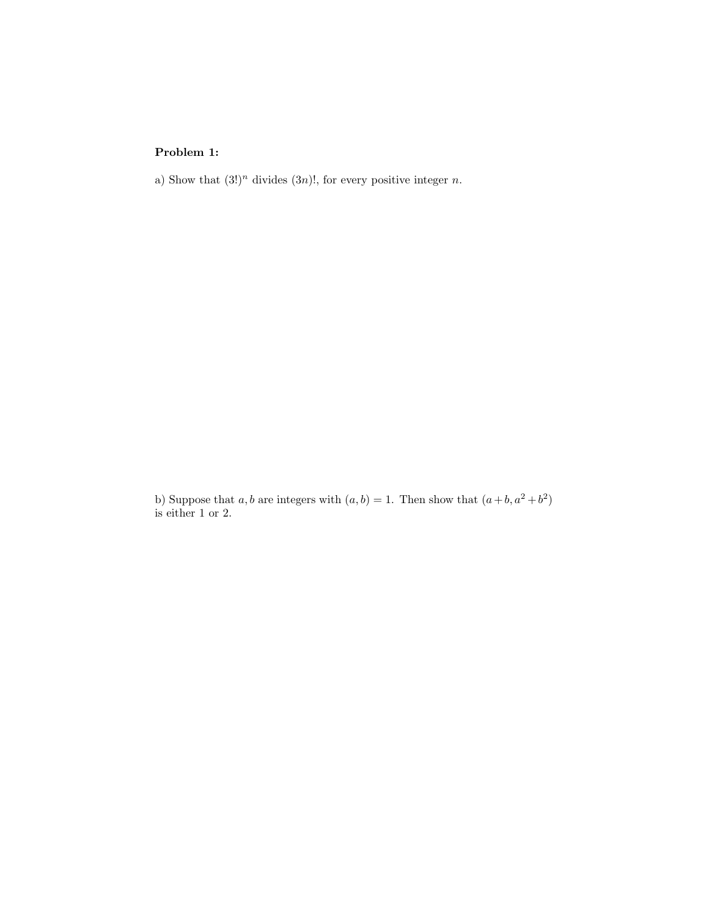### Problem 1:

a) Show that  $(3!)^n$  divides  $(3n)!$ , for every positive integer n.

b) Suppose that a, b are integers with  $(a, b) = 1$ . Then show that  $(a + b, a^2 + b^2)$ is either 1 or 2.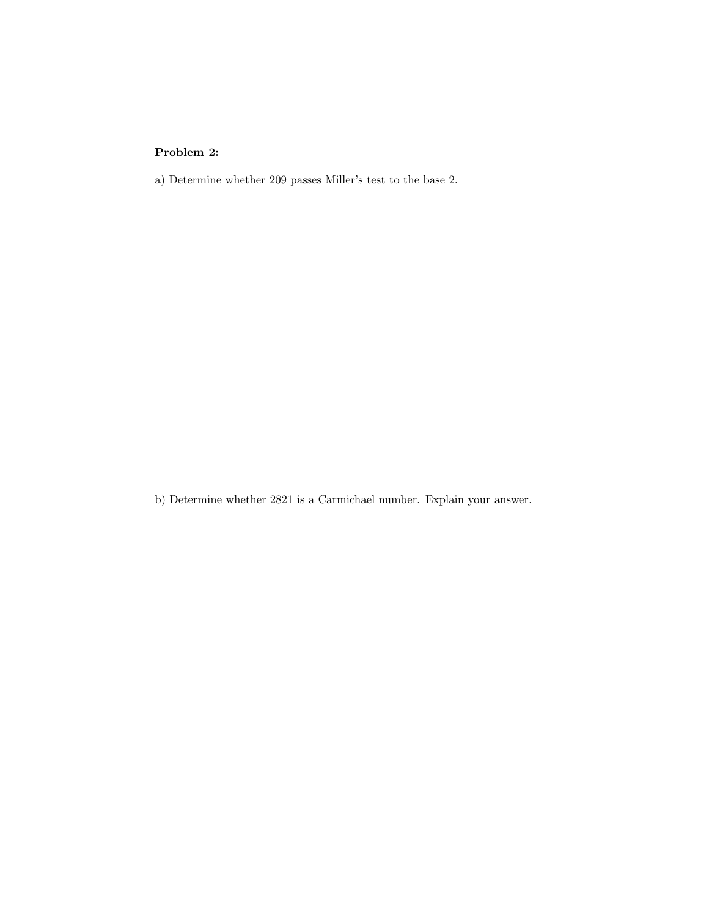### Problem 2:

a) Determine whether 209 passes Miller's test to the base 2.

b) Determine whether 2821 is a Carmichael number. Explain your answer.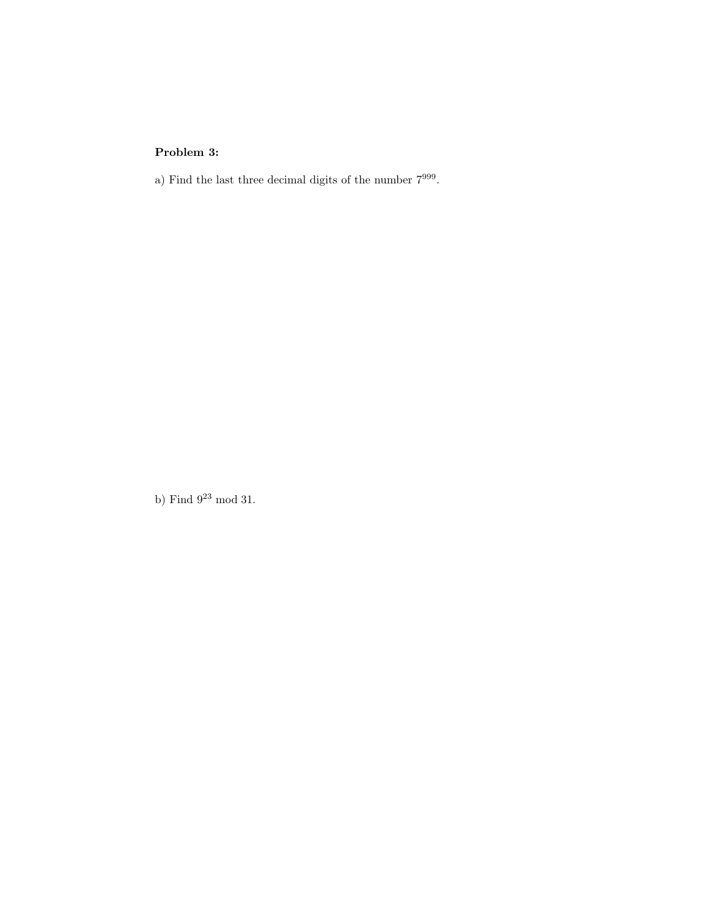## Problem 3:

a) Find the last three decimal digits of the number  $7^{999}$ .

b) Find  $9^{23}$  mod 31.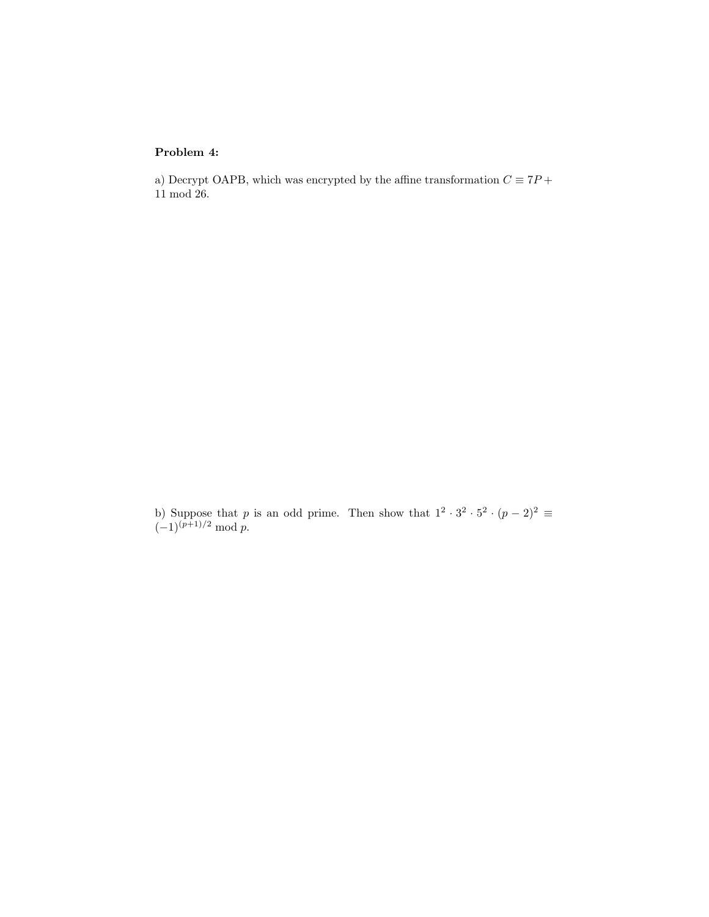#### Problem 4:

a) Decrypt OAPB, which was encrypted by the affine transformation  $C \equiv 7P +$ 11 mod 26.

b) Suppose that p is an odd prime. Then show that  $1^2 \cdot 3^2 \cdot 5^2 \cdot (p-2)^2 \equiv$  $(-1)^{(p+1)/2} \bmod p.$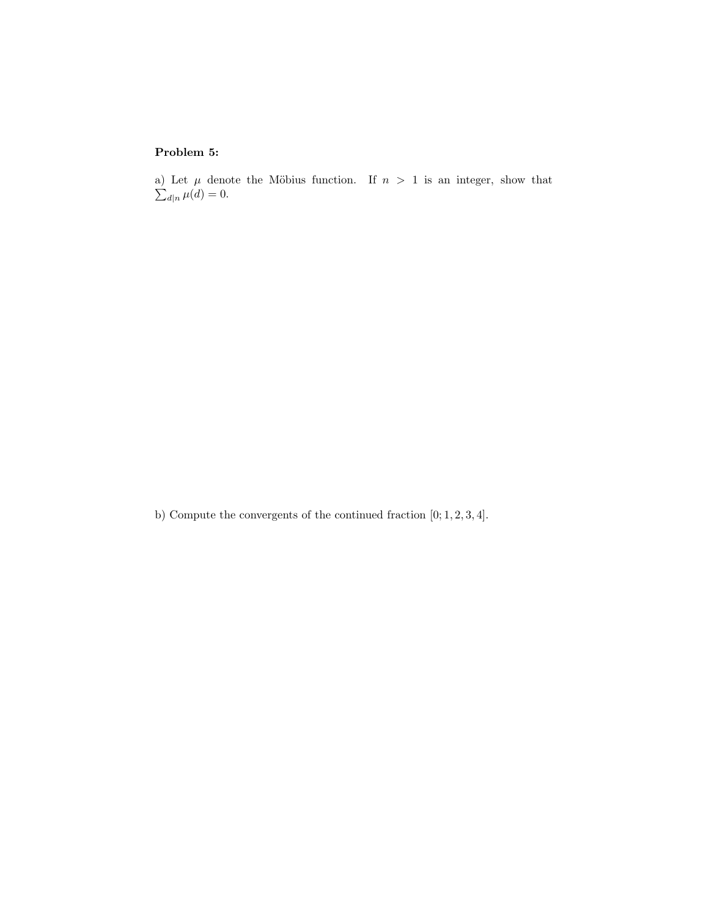### Problem 5:

a) Let  $\mu$  denote the Möbius function. If  $n > 1$  is an integer, show that  $\sum_{d|n} \mu(d) = 0.$ 

b) Compute the convergents of the continued fraction [0; 1, 2, 3, 4].